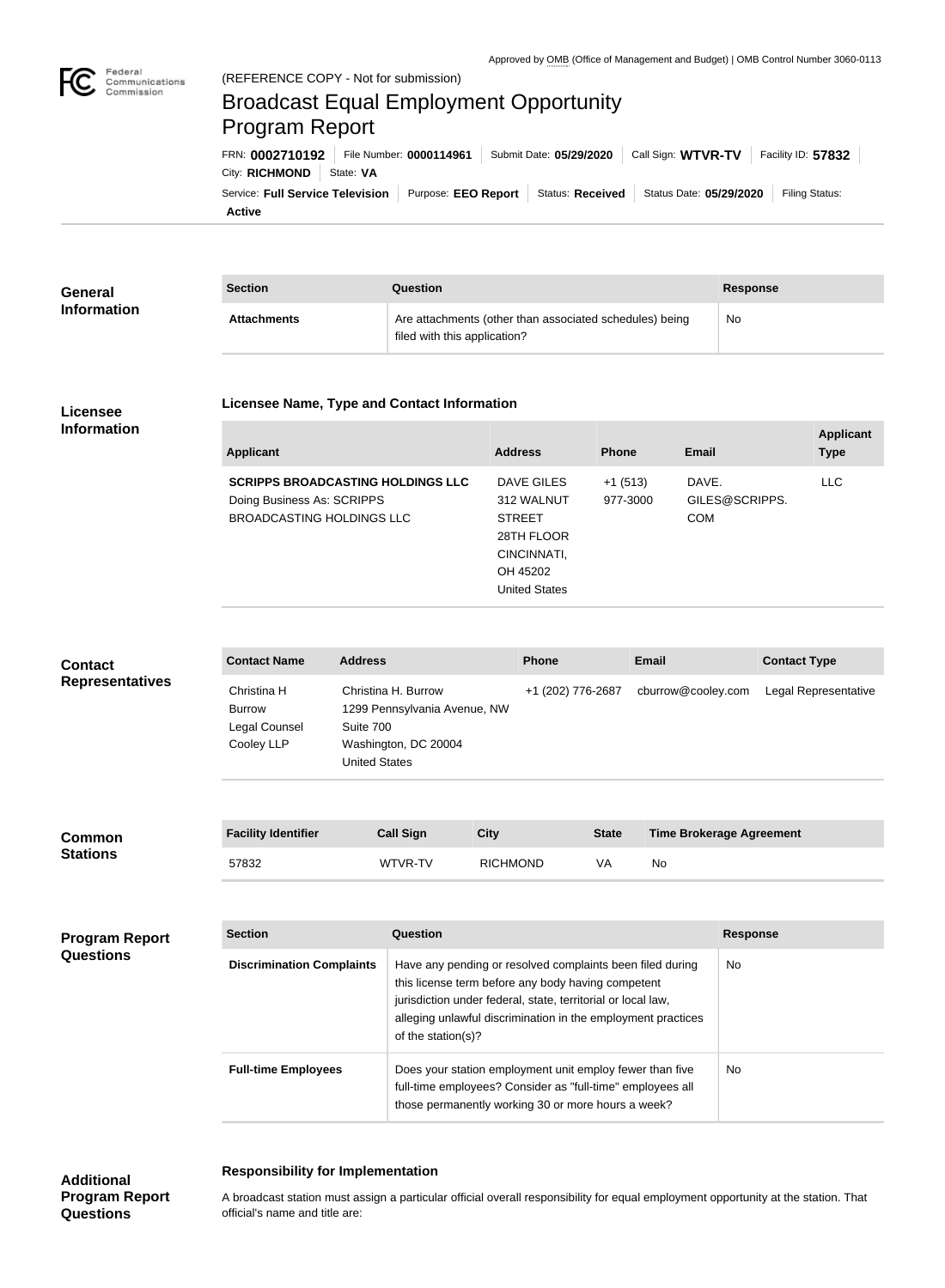

## (REFERENCE COPY - Not for submission) regeral<br>Communications<br>Commission Broadcast Equal Employment Opportunity Program ReportFRN: **0002710192** File Number: **0000114961** Submit Date: **05/29/2020** Call Sign: **WTVR-TV** Facility ID: **57832** City: **RICHMOND** State: VA Service: Full Service Television | Purpose: EEO Report | Status: Received | Status Date: 05/29/2020 | Filing Status:

**Active**

| <b>General</b>     | <b>Section</b>     | Question                                                                                | <b>Response</b> |
|--------------------|--------------------|-----------------------------------------------------------------------------------------|-----------------|
| <b>Information</b> | <b>Attachments</b> | Are attachments (other than associated schedules) being<br>filed with this application? | No              |

### **Licensee Information**

#### **Licensee Name, Type and Contact Information**

| <b>Applicant</b>                                                       | <b>Address</b>           | <b>Phone</b>          | <b>Email</b>            | <b>Applicant</b><br><b>Type</b> |
|------------------------------------------------------------------------|--------------------------|-----------------------|-------------------------|---------------------------------|
| <b>SCRIPPS BROADCASTING HOLDINGS LLC</b><br>Doing Business As: SCRIPPS | DAVE GILES<br>312 WALNUT | $+1(513)$<br>977-3000 | DAVE.<br>GILES@SCRIPPS. | <b>LLC</b>                      |
| BROADCASTING HOLDINGS LLC                                              | <b>STREET</b>            |                       | <b>COM</b>              |                                 |
|                                                                        | 28TH FLOOR               |                       |                         |                                 |
|                                                                        | CINCINNATI,              |                       |                         |                                 |
|                                                                        | OH 45202                 |                       |                         |                                 |
|                                                                        | United States            |                       |                         |                                 |

| <b>Contact</b><br><b>Representatives</b>  | <b>Contact Name</b>                                         | <b>Address</b>                    |                                                                                                                                                                                                                                                                       |                 | <b>Phone</b>      |              | <b>Email</b>                    |                 | <b>Contact Type</b>  |
|-------------------------------------------|-------------------------------------------------------------|-----------------------------------|-----------------------------------------------------------------------------------------------------------------------------------------------------------------------------------------------------------------------------------------------------------------------|-----------------|-------------------|--------------|---------------------------------|-----------------|----------------------|
|                                           | Christina H<br><b>Burrow</b><br>Legal Counsel<br>Cooley LLP | Suite 700<br><b>United States</b> | Christina H. Burrow<br>1299 Pennsylvania Avenue, NW<br>Washington, DC 20004                                                                                                                                                                                           |                 | +1 (202) 776-2687 |              | cburrow@cooley.com              |                 | Legal Representative |
| Common<br><b>Stations</b>                 | <b>Facility Identifier</b>                                  |                                   | <b>Call Sign</b>                                                                                                                                                                                                                                                      | <b>City</b>     |                   | <b>State</b> | <b>Time Brokerage Agreement</b> |                 |                      |
|                                           | 57832                                                       |                                   | WTVR-TV                                                                                                                                                                                                                                                               | <b>RICHMOND</b> |                   | VA           | No                              |                 |                      |
|                                           |                                                             |                                   |                                                                                                                                                                                                                                                                       |                 |                   |              |                                 |                 |                      |
| <b>Program Report</b><br><b>Questions</b> | <b>Section</b>                                              |                                   | Question                                                                                                                                                                                                                                                              |                 |                   |              |                                 | <b>Response</b> |                      |
|                                           | <b>Discrimination Complaints</b>                            |                                   | Have any pending or resolved complaints been filed during<br>this license term before any body having competent<br>jurisdiction under federal, state, territorial or local law,<br>alleging unlawful discrimination in the employment practices<br>of the station(s)? |                 |                   |              | <b>No</b>                       |                 |                      |

|                            | this license term before any body having competent<br>jurisdiction under federal, state, territorial or local law,<br>alleging unlawful discrimination in the employment practices<br>of the station(s)? |     |
|----------------------------|----------------------------------------------------------------------------------------------------------------------------------------------------------------------------------------------------------|-----|
| <b>Full-time Employees</b> | Does your station employment unit employ fewer than five<br>full-time employees? Consider as "full-time" employees all<br>those permanently working 30 or more hours a week?                             | No. |

# **Responsibility for Implementation**

**Additional Program Report Questions**

### A broadcast station must assign a particular official overall responsibility for equal employment opportunity at the station. That official's name and title are: